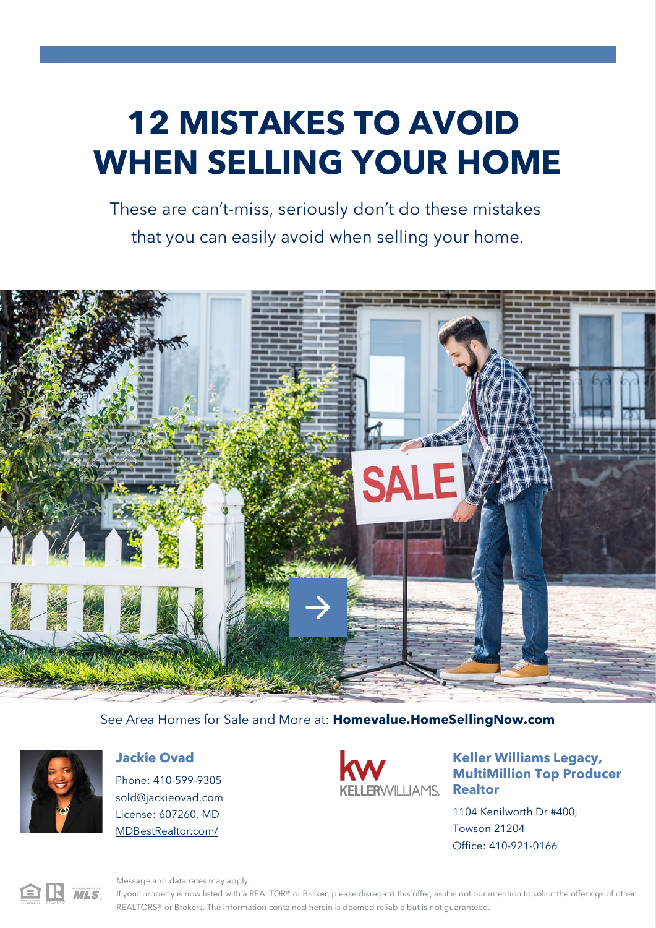# **12 MISTAKES TO AVOID WHEN SELLING YOUR HOME**

These are can't-miss, seriously don't do these mistakes that you can easily avoid when selling your home.



#### See Area Homes for Sale and More at: **[Homevalue.HomeSellingNow.com](http://Homevalue.HomeSellingNow.com/)**



#### **Jackie Ovad**

Phone: 410-599-9305 [sold@jackieovad.com](mailto:sold@jackieovad.com) License: 607260, MD [MDBestRealtor.com/](http://MDBestRealtor.com/)



# **Keller Williams Legacy, MultiMillion Top Producer**

1104 Kenilworth Dr #400, Towson 21204 Office: 410-921-0166



Message and data rates may apply.

If your property is now listed with a REALTOR® or Broker, please disregard this offer, as it is not our intention to solicit the offerings of other REALTORS® or Brokers. The information contained herein is deemed reliable but is not guaranteed.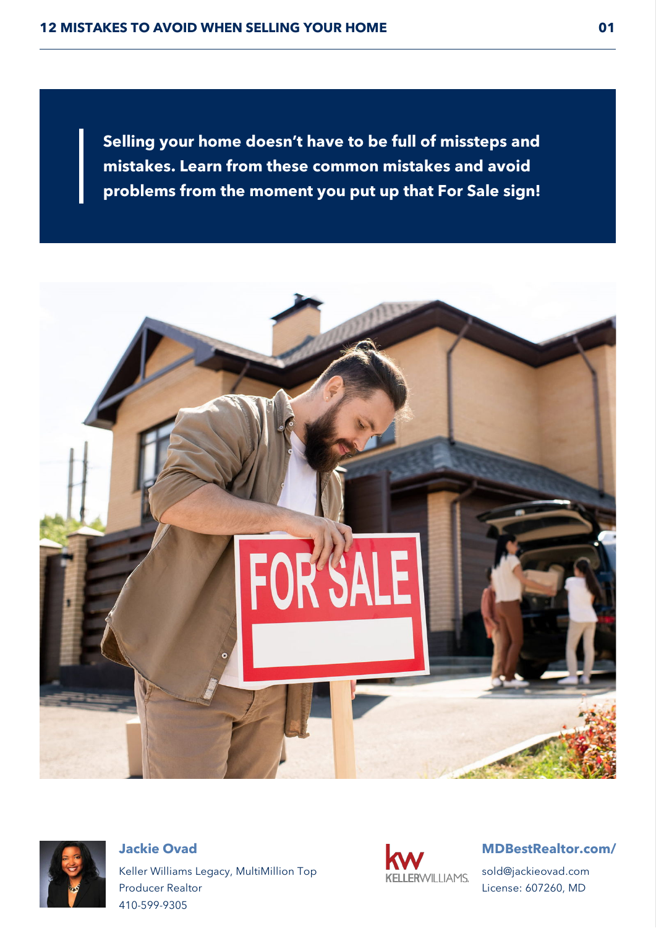**Selling your home doesn't have to be full of missteps and mistakes. Learn from these common mistakes and avoid problems from the moment you put up that For Sale sign!**





**Jackie Ovad** Keller Williams Legacy, MultiMillion Top Producer Realtor 410-599-9305



#### **[MDBestRealtor.com/](http://MDBestRealtor.com/)**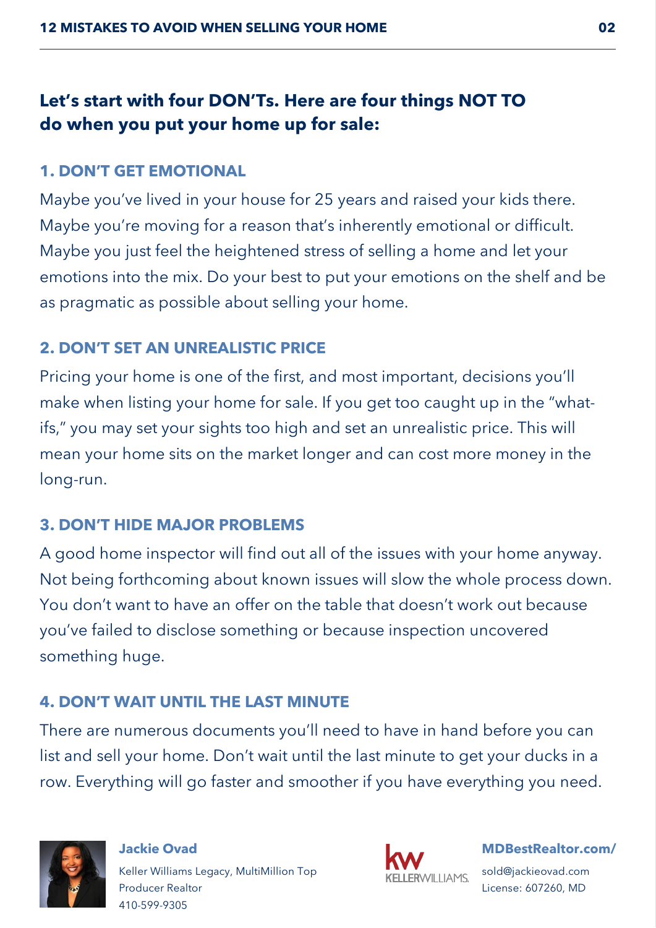# **Let's start with four DON'Ts. Here are four things NOT TO do when you put your home up for sale:**

#### **1. DON'T GET EMOTIONAL**

Maybe you've lived in your house for 25 years and raised your kids there. Maybe you're moving for a reason that's inherently emotional or difficult. Maybe you just feel the heightened stress of selling a home and let your emotions into the mix. Do your best to put your emotions on the shelf and be as pragmatic as possible about selling your home.

#### **2. DON'T SET AN UNREALISTIC PRICE**

Pricing your home is one of the first, and most important, decisions you'll make when listing your home for sale. If you get too caught up in the "whatifs," you may set your sights too high and set an unrealistic price. This will mean your home sits on the market longer and can cost more money in the long-run.

#### **3. DON'T HIDE MAJOR PROBLEMS**

A good home inspector will find out all of the issues with your home anyway. Not being forthcoming about known issues will slow the whole process down. You don't want to have an offer on the table that doesn't work out because you've failed to disclose something or because inspection uncovered something huge.

## **4. DON'T WAIT UNTIL THE LAST MINUTE**

There are numerous documents you'll need to have in hand before you can list and sell your home. Don't wait until the last minute to get your ducks in a row. Everything will go faster and smoother if you have everything you need.



#### **Jackie Ovad** Keller Williams Legacy, MultiMillion Top Producer Realtor 410-599-9305



#### **[MDBestRealtor.com/](http://MDBestRealtor.com/)**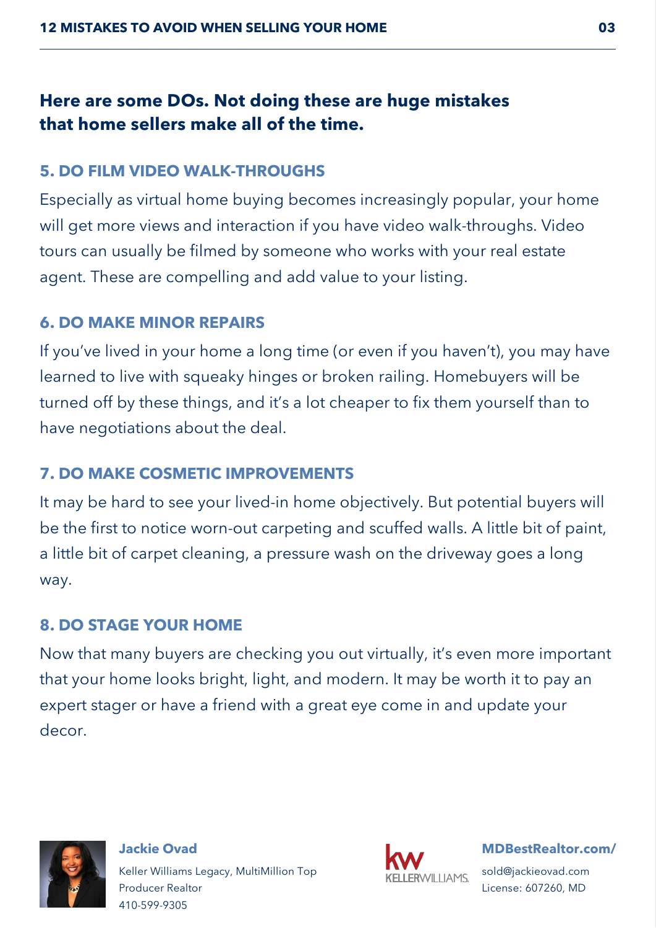# **Here are some DOs. Not doing these are huge mistakes that home sellers make all of the time.**

#### **5. DO FILM VIDEO WALK-THROUGHS**

Especially as virtual home buying becomes increasingly popular, your home will get more views and interaction if you have video walk-throughs. Video tours can usually be filmed by someone who works with your real estate agent. These are compelling and add value to your listing.

#### **6. DO MAKE MINOR REPAIRS**

If you've lived in your home a long time (or even if you haven't), you may have learned to live with squeaky hinges or broken railing. Homebuyers will be turned off by these things, and it's a lot cheaper to fix them yourself than to have negotiations about the deal.

## **7. DO MAKE COSMETIC IMPROVEMENTS**

It may be hard to see your lived-in home objectively. But potential buyers will be the first to notice worn-out carpeting and scuffed walls. A little bit of paint, a little bit of carpet cleaning, a pressure wash on the driveway goes a long way.

## **8. DO STAGE YOUR HOME**

Now that many buyers are checking you out virtually, it's even more important that your home looks bright, light, and modern. It may be worth it to pay an expert stager or have a friend with a great eye come in and update your decor.



**Jackie Ovad** Keller Williams Legacy, MultiMillion Top Producer Realtor 410-599-9305



**[MDBestRealtor.com/](http://MDBestRealtor.com/)**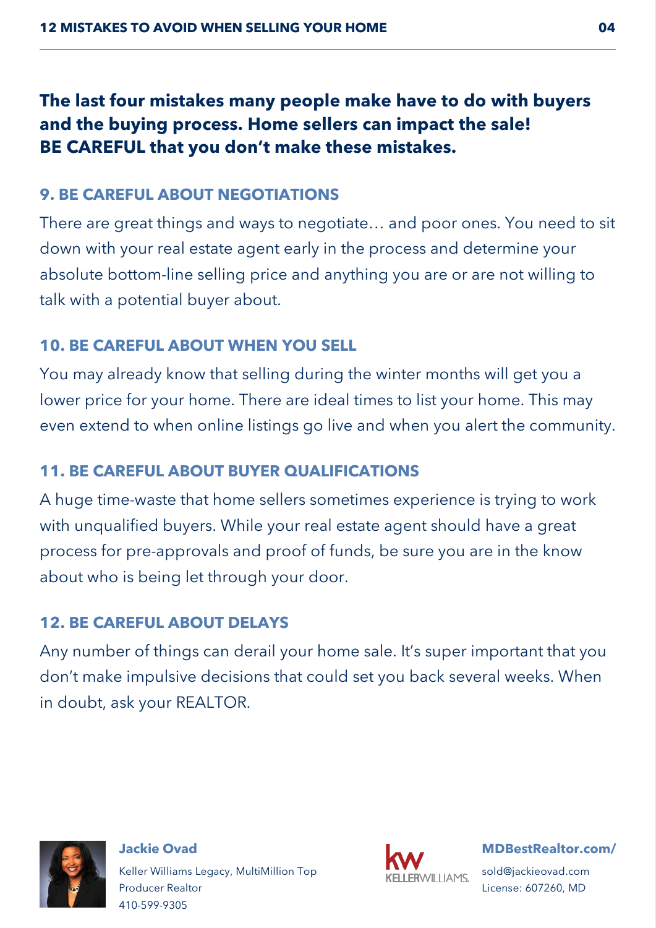# **The last four mistakes many people make have to do with buyers and the buying process. Home sellers can impact the sale! BE CAREFUL that you don't make these mistakes.**

## **9. BE CAREFUL ABOUT NEGOTIATIONS**

There are great things and ways to negotiate… and poor ones. You need to sit down with your real estate agent early in the process and determine your absolute bottom-line selling price and anything you are or are not willing to talk with a potential buyer about.

## **10. BE CAREFUL ABOUT WHEN YOU SELL**

You may already know that selling during the winter months will get you a lower price for your home. There are ideal times to list your home. This may even extend to when online listings go live and when you alert the community.

# **11. BE CAREFUL ABOUT BUYER QUALIFICATIONS**

A huge time-waste that home sellers sometimes experience is trying to work with unqualified buyers. While your real estate agent should have a great process for pre-approvals and proof of funds, be sure you are in the know about who is being let through your door.

# **12. BE CAREFUL ABOUT DELAYS**

Any number of things can derail your home sale. It's super important that you don't make impulsive decisions that could set you back several weeks. When in doubt, ask your REALTOR.



**Jackie Ovad** Keller Williams Legacy, MultiMillion Top Producer Realtor 410-599-9305



**[MDBestRealtor.com/](http://MDBestRealtor.com/)**